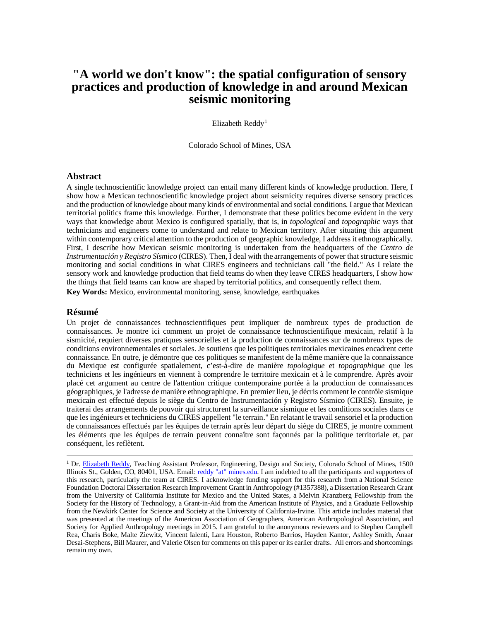# **"A world we don't know": the spatial configuration of sensory practices and production of knowledge in and around Mexican seismic monitoring**

Elizabeth Reddy<sup>[1](#page-0-0)</sup>

Colorado School of Mines, USA

#### **Abstract**

A single technoscientific knowledge project can entail many different kinds of knowledge production. Here, I show how a Mexican technoscientific knowledge project about seismicity requires diverse sensory practices and the production of knowledge about many kinds of environmental and social conditions. I argue that Mexican territorial politics frame this knowledge. Further, I demonstrate that these politics become evident in the very ways that knowledge about Mexico is configured spatially, that is, in *topological* and *topographic* ways that technicians and engineers come to understand and relate to Mexican territory. After situating this argument within contemporary critical attention to the production of geographic knowledge, I address it ethnographically. First, I describe how Mexican seismic monitoring is undertaken from the headquarters of the *Centro de Instrumentación y Registro Sísmico* (CIRES). Then, I deal with the arrangements of power that structure seismic monitoring and social conditions in what CIRES engineers and technicians call "the field." As I relate the sensory work and knowledge production that field teams do when they leave CIRES headquarters, I show how the things that field teams can know are shaped by territorial politics, and consequently reflect them.

**Key Words:** Mexico, environmental monitoring, sense, knowledge, earthquakes

#### **Résumé**

Un projet de connaissances technoscientifiques peut impliquer de nombreux types de production de connaissances. Je montre ici comment un projet de connaissance technoscientifique mexicain, relatif à la sismicité, requiert diverses pratiques sensorielles et la production de connaissances sur de nombreux types de conditions environnementales et sociales. Je soutiens que les politiques territoriales mexicaines encadrent cette connaissance. En outre, je démontre que ces politiques se manifestent de la même manière que la connaissance du Mexique est configurée spatialement, c'est-à-dire de manière *topologique* et *topographique* que les techniciens et les ingénieurs en viennent à comprendre le territoire mexicain et à le comprendre. Après avoir placé cet argument au centre de l'attention critique contemporaine portée à la production de connaissances géographiques, je l'adresse de manière ethnographique. En premier lieu, je décris comment le contrôle sismique mexicain est effectué depuis le siège du Centro de Instrumentación y Registro Sísmico (CIRES). Ensuite, je traiterai des arrangements de pouvoir qui structurent la surveillance sismique et les conditions sociales dans ce que les ingénieurs et techniciens du CIRES appellent "le terrain." En relatant le travail sensoriel et la production de connaissances effectués par les équipes de terrain après leur départ du siège du CIRES, je montre comment les éléments que les équipes de terrain peuvent connaître sont façonnés par la politique territoriale et, par conséquent, les reflètent.

<span id="page-0-0"></span><sup>&</sup>lt;sup>1</sup> Dr. [Elizabeth Reddy,](https://elizabethreddy.info/) Teaching Assistant Professor, Engineering, Design and Society, Colorado School of Mines, 1500 Illinois St., Golden, CO, 80401, USA. Email: reddy "at" mines.edu. I am indebted to all the participants and supporters of this research, particularly the team at CIRES. I acknowledge funding support for this research from a National Science Foundation Doctoral Dissertation Research Improvement Grant in Anthropology (#1357388), a Dissertation Research Grant from the University of California Institute for Mexico and the United States, a Melvin Kranzberg Fellowship from the Society for the History of Technology, a Grant-in-Aid from the American Institute of Physics, and a Graduate Fellowship from the Newkirk Center for Science and Society at the University of California-Irvine. This article includes material that was presented at the meetings of the American Association of Geographers, American Anthropological Association, and Society for Applied Anthropology meetings in 2015. I am grateful to the anonymous reviewers and to Stephen Campbell Rea, Charis Boke, Malte Ziewitz, Vincent Ialenti, Lara Houston, Roberto Barrios, Hayden Kantor, Ashley Smith, Anaar Desai-Stephens, Bill Maurer, and Valerie Olsen for comments on this paper or its earlier drafts. All errors and shortcomings remain my own.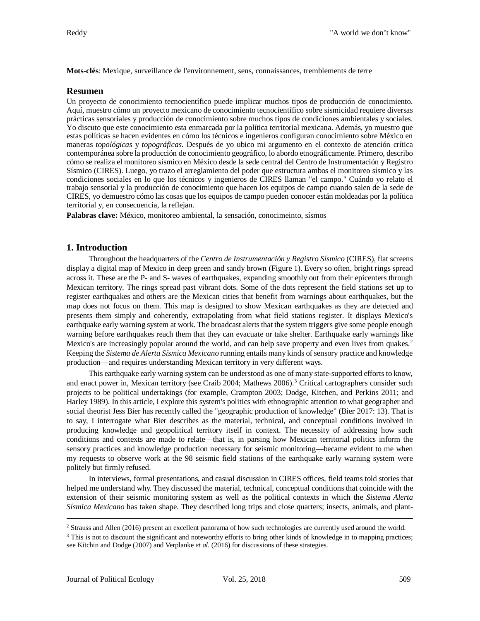**Mots-clés**: Mexique, surveillance de l'environnement, sens, connaissances, tremblements de terre

#### **Resumen**

Un proyecto de conocimiento tecnocientífico puede implicar muchos tipos de producción de conocimiento. Aquí, muestro cómo un proyecto mexicano de conocimiento tecnocientífico sobre sismicidad requiere diversas prácticas sensoriales y producción de conocimiento sobre muchos tipos de condiciones ambientales y sociales. Yo discuto que este conocimiento esta enmarcada por la política territorial mexicana. Además, yo muestro que estas políticas se hacen evidentes en cómo los técnicos e ingenieros configuran conocimiento sobre México en maneras *topológicas* y *topográficas*. Después de yo ubico mi argumento en el contexto de atención crítica contemporánea sobre la producción de conocimiento geográfico, lo abordo etnográficamente. Primero, describo cómo se realiza el monitoreo sísmico en México desde la sede central del Centro de Instrumentación y Registro Sísmico (CIRES). Luego, yo trazo el arreglamiento del poder que estructura ambos el monitoreo sísmico y las condiciones sociales en lo que los técnicos y ingenieros de CIRES llaman "el campo." Cuándo yo relato el trabajo sensorial y la producción de conocimiento que hacen los equipos de campo cuando salen de la sede de CIRES, yo demuestro cómo las cosas que los equipos de campo pueden conocer están moldeadas por la política territorial y, en consecuencia, la reflejan.

**Palabras clave:** México, monitoreo ambiental, la sensación, conocimeinto, sísmos

## **1. Introduction**

Throughout the headquarters of the *Centro de Instrumentación y Registro Sísmico* (CIRES), flat screens display a digital map of Mexico in deep green and sandy brown (Figure 1). Every so often, bright rings spread across it. These are the P- and S- waves of earthquakes, expanding smoothly out from their epicenters through Mexican territory. The rings spread past vibrant dots. Some of the dots represent the field stations set up to register earthquakes and others are the Mexican cities that benefit from warnings about earthquakes, but the map does not focus on them. This map is designed to show Mexican earthquakes as they are detected and presents them simply and coherently, extrapolating from what field stations register. It displays Mexico's earthquake early warning system at work. The broadcast alerts that the system triggers give some people enough warning before earthquakes reach them that they can evacuate or take shelter. Earthquake early warnings like Mexico's are increasingly popular around the world, and can help save property and even lives from quakes.<sup>2</sup> Keeping the *Sistema de Alerta Sísmica Mexicano* running entails many kinds of sensory practice and knowledge production—and requires understanding Mexican territory in very different ways.

This earthquake early warning system can be understood as one of many state-supported efforts to know, and enact power in, Mexican territory (see Craib 2004; Mathews 2006).<sup>[3](#page-1-1)</sup> Critical cartographers consider such projects to be political undertakings (for example, Crampton 2003; Dodge, Kitchen, and Perkins 2011; and Harley 1989). In this article, I explore this system's politics with ethnographic attention to what geographer and social theorist Jess Bier has recently called the "geographic production of knowledge" (Bier 2017: 13). That is to say, I interrogate what Bier describes as the material, technical, and conceptual conditions involved in producing knowledge and geopolitical territory itself in context. The necessity of addressing how such conditions and contexts are made to relate—that is, in parsing how Mexican territorial politics inform the sensory practices and knowledge production necessary for seismic monitoring—became evident to me when my requests to observe work at the 98 seismic field stations of the earthquake early warning system were politely but firmly refused.

In interviews, formal presentations, and casual discussion in CIRES offices, field teams told stories that helped me understand why. They discussed the material, technical, conceptual conditions that coincide with the extension of their seismic monitoring system as well as the political contexts in which the *Sistema Alerta Sísmica Mexicano* has taken shape. They described long trips and close quarters; insects, animals, and plant-

<span id="page-1-1"></span><span id="page-1-0"></span> $\frac{2}{3}$  Strauss and Allen (2016) present an excellent panorama of how such technologies are currently used around the world.<br> $\frac{3}{3}$  This is not to discount the significant and noteworthy efforts to bring other kinds

see Kitchin and Dodge (2007) and Verplanke *et al.* (2016) for discussions of these strategies.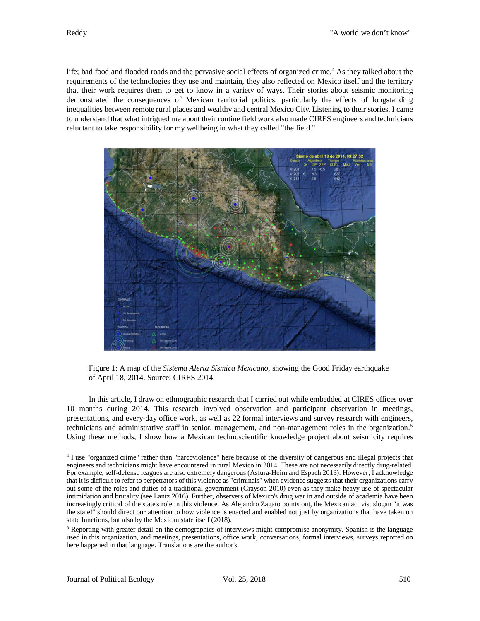life; bad food and flooded roads and the pervasive social effects of organized crime.<sup>[4](#page-2-0)</sup> As they talked about the requirements of the technologies they use and maintain, they also reflected on Mexico itself and the territory that their work requires them to get to know in a variety of ways. Their stories about seismic monitoring demonstrated the consequences of Mexican territorial politics, particularly the effects of longstanding inequalities between remote rural places and wealthy and central Mexico City. Listening to their stories, I came to understand that what intrigued me about their routine field work also made CIRES engineers and technicians reluctant to take responsibility for my wellbeing in what they called "the field."



Figure 1: A map of the *Sistema Alerta Sísmica Mexicano*, showing the Good Friday earthquake of April 18, 2014. Source: CIRES 2014.

In this article, I draw on ethnographic research that I carried out while embedded at CIRES offices over 10 months during 2014. This research involved observation and participant observation in meetings, presentations, and every-day office work, as well as 22 formal interviews and survey research with engineers, technicians and administrative staff in senior, management, and non-management roles in the organization.<sup>[5](#page-2-1)</sup> Using these methods, I show how a Mexican technoscientific knowledge project about seismicity requires

<span id="page-2-0"></span><sup>&</sup>lt;sup>4</sup> I use "organized crime" rather than "narcoviolence" here because of the diversity of dangerous and illegal projects that engineers and technicians might have encountered in rural Mexico in 2014. These are not necessarily directly drug-related. For example, self-defense leagues are also extremely dangerous (Asfura-Heim and Espach 2013). However, I acknowledge that it is difficult to refer to perpetrators of this violence as "criminals" when evidence suggests that their organizations carry out some of the roles and duties of a traditional government (Grayson 2010) even as they make heavy use of spectacular intimidation and brutality (see Lantz 2016). Further, observers of Mexico's drug war in and outside of academia have been increasingly critical of the state's role in this violence. As Alejandro Zagato points out, the Mexican activist slogan "it was the state!" should direct our attention to how violence is enacted and enabled not just by organizations that have taken on state functions, but also by the Mexican state itself (2018).

<span id="page-2-1"></span><sup>5</sup> Reporting with greater detail on the demographics of interviews might compromise anonymity. Spanish is the language used in this organization, and meetings, presentations, office work, conversations, formal interviews, surveys reported on here happened in that language. Translations are the author's.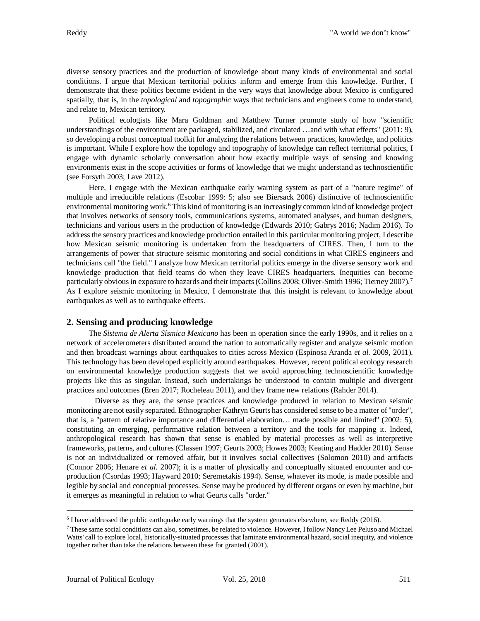diverse sensory practices and the production of knowledge about many kinds of environmental and social conditions. I argue that Mexican territorial politics inform and emerge from this knowledge. Further, I demonstrate that these politics become evident in the very ways that knowledge about Mexico is configured spatially, that is, in the *topological* and *topographic* ways that technicians and engineers come to understand, and relate to, Mexican territory.

Political ecologists like Mara Goldman and Matthew Turner promote study of how "scientific understandings of the environment are packaged, stabilized, and circulated …and with what effects" (2011: 9), so developing a robust conceptual toolkit for analyzing the relations between practices, knowledge, and politics is important. While I explore how the topology and topography of knowledge can reflect territorial politics, I engage with dynamic scholarly conversation about how exactly multiple ways of sensing and knowing environments exist in the scope activities or forms of knowledge that we might understand as technoscientific (see Forsyth 2003; Lave 2012).

Here, I engage with the Mexican earthquake early warning system as part of a "nature regime" of multiple and irreducible relations (Escobar 1999: 5; also see Biersack 2006) distinctive of technoscientific environmental monitoring work.<sup>[6](#page-3-0)</sup> This kind of monitoring is an increasingly common kind of knowledge project that involves networks of sensory tools, communications systems, automated analyses, and human designers, technicians and various users in the production of knowledge (Edwards 2010; Gabrys 2016; Nadim 2016). To address the sensory practices and knowledge production entailed in this particular monitoring project, I describe how Mexican seismic monitoring is undertaken from the headquarters of CIRES. Then, I turn to the arrangements of power that structure seismic monitoring and social conditions in what CIRES engineers and technicians call "the field." I analyze how Mexican territorial politics emerge in the diverse sensory work and knowledge production that field teams do when they leave CIRES headquarters. Inequities can become particularly obvious in exposure to hazards and their impacts (Collins 2008; Oliver-Smith 1996; Tierney 2007).<sup>7</sup> As I explore seismic monitoring in Mexico, I demonstrate that this insight is relevant to knowledge about earthquakes as well as to earthquake effects.

## **2. Sensing and producing knowledge**

The *Sistema de Alerta Sísmica Mexicano* has been in operation since the early 1990s, and it relies on a network of accelerometers distributed around the nation to automatically register and analyze seismic motion and then broadcast warnings about earthquakes to cities across Mexico (Espinosa Aranda *et al.* 2009, 2011). This technology has been developed explicitly around earthquakes. However, recent political ecology research on environmental knowledge production suggests that we avoid approaching technoscientific knowledge projects like this as singular. Instead, such undertakings be understood to contain multiple and divergent practices and outcomes (Eren 2017; Rocheleau 2011), and they frame new relations (Rahder 2014).

Diverse as they are, the sense practices and knowledge produced in relation to Mexican seismic monitoring are not easily separated. Ethnographer Kathryn Geurts has considered sense to be a matter of ''order'', that is, a ''pattern of relative importance and differential elaboration… made possible and limited'' (2002: 5), constituting an emerging, performative relation between a territory and the tools for mapping it. Indeed, anthropological research has shown that sense is enabled by material processes as well as interpretive frameworks, patterns, and cultures (Classen 1997; Geurts 2003; Howes 2003; Keating and Hadder 2010). Sense is not an individualized or removed affair, but it involves social collectives (Solomon 2010) and artifacts (Connor 2006; Henare *et al.* 2007); it is a matter of physically and conceptually situated encounter and coproduction (Csordas 1993; Hayward 2010; Seremetakis 1994). Sense, whatever its mode, is made possible and legible by social and conceptual processes. Sense may be produced by different organs or even by machine, but it emerges as meaningful in relation to what Geurts calls "order."

<span id="page-3-0"></span> <sup>6</sup> I have addressed the public earthquake early warnings that the system generates elsewhere, see Reddy (2016).

<span id="page-3-1"></span><sup>7</sup> These same social conditions can also, sometimes, be related to violence. However, I follow Nancy Lee Peluso and Michael Watts' call to explore local, historically-situated processes that laminate environmental hazard, social inequity, and violence together rather than take the relations between these for granted (2001).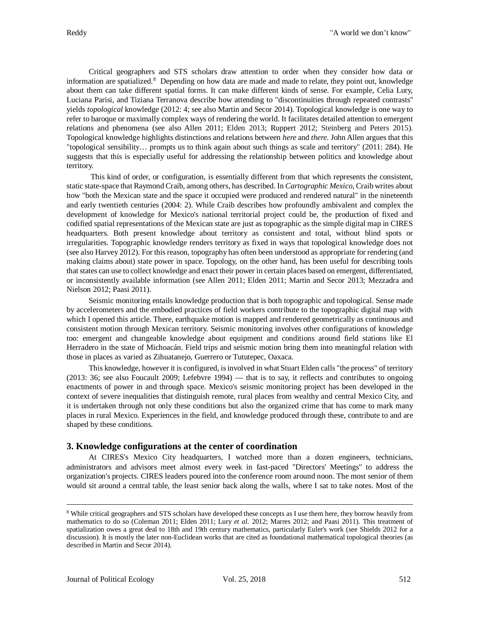Critical geographers and STS scholars draw attention to order when they consider how data or information are spatialized. [8](#page-4-0) Depending on how data are made and made to relate, they point out, knowledge about them can take different spatial forms. It can make different kinds of sense. For example, Celia Lury, Luciana Parisi, and Tiziana Terranova describe how attending to "discontinuities through repeated contrasts'' yields *topological* knowledge (2012: 4; see also Martin and Secor 2014). Topological knowledge is one way to refer to baroque or maximally complex ways of rendering the world. It facilitates detailed attention to emergent relations and phenomena (see also Allen 2011; Elden 2013; Ruppert 2012; Steinberg and Peters 2015). Topological knowledge highlights distinctions and relations between *here* and *there.* John Allen argues that this "topological sensibility… prompts us to think again about such things as scale and territory" (2011: 284). He suggests that this is especially useful for addressing the relationship between politics and knowledge about territory.

This kind of order, or configuration, is essentially different from that which represents the consistent, static state-space that Raymond Craib, among others, has described. In *Cartographic Mexico*, Craib writes about how "both the Mexican state and the space it occupied were produced and rendered natural" in the nineteenth and early twentieth centuries (2004: 2). While Craib describes how profoundly ambivalent and complex the development of knowledge for Mexico's national territorial project could be, the production of fixed and codified spatial representations of the Mexican state are just as topographic as the simple digital map in CIRES headquarters*.* Both present knowledge about territory as consistent and total, without blind spots or irregularities. Topographic knowledge renders territory as fixed in ways that topological knowledge does not (see also Harvey 2012). For this reason, topography has often been understood as appropriate for rendering (and making claims about) state power in space. Topology, on the other hand, has been useful for describing tools that states can use to collect knowledge and enact their power in certain places based on emergent, differentiated, or inconsistently available information (see Allen 2011; Elden 2011; Martin and Secor 2013; Mezzadra and Nielson 2012; Paasi 2011).

Seismic monitoring entails knowledge production that is both topographic and topological. Sense made by accelerometers and the embodied practices of field workers contribute to the topographic digital map with which I opened this article. There, earthquake motion is mapped and rendered geometrically as continuous and consistent motion through Mexican territory. Seismic monitoring involves other configurations of knowledge too: emergent and changeable knowledge about equipment and conditions around field stations like El Herradero in the state of Michoacán. Field trips and seismic motion bring them into meaningful relation with those in places as varied as Zihuatanejo, Guerrero or Tututepec, Oaxaca.

This knowledge, however it is configured, is involved in what Stuart Elden calls "the process" of territory (2013: 36; see also Foucault 2009; Lefebvre 1994) — that is to say, it reflects and contributes to ongoing enactments of power in and through space. Mexico's seismic monitoring project has been developed in the context of severe inequalities that distinguish remote, rural places from wealthy and central Mexico City, and it is undertaken through not only these conditions but also the organized crime that has come to mark many places in rural Mexico. Experiences in the field, and knowledge produced through these, contribute to and are shaped by these conditions.

## **3. Knowledge configurations at the center of coordination**

At CIRES's Mexico City headquarters, I watched more than a dozen engineers, technicians, administrators and advisors meet almost every week in fast-paced ''Directors' Meetings'' to address the organization's projects. CIRES leaders poured into the conference room around noon. The most senior of them would sit around a central table, the least senior back along the walls, where I sat to take notes. Most of the

<span id="page-4-0"></span><sup>&</sup>lt;sup>8</sup> While critical geographers and STS scholars have developed these concepts as I use them here, they borrow heavily from mathematics to do so (Coleman 2011; Elden 2011; Lury *et al.* 2012; Marres 2012; and Paasi 2011). This treatment of spatialization owes a great deal to 18th and 19th century mathematics, particularly Euler's work (see Shields 2012 for a discussion). It is mostly the later non-Euclidean works that are cited as foundational mathematical topological theories (as described in Martin and Secor 2014).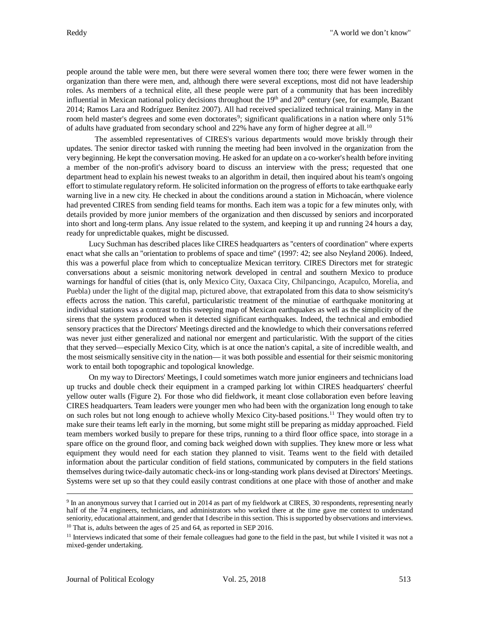people around the table were men, but there were several women there too; there were fewer women in the organization than there were men, and, although there were several exceptions, most did not have leadership roles. As members of a technical elite, all these people were part of a community that has been incredibly influential in Mexican national policy decisions throughout the  $19<sup>th</sup>$  and  $20<sup>th</sup>$  century (see, for example, Bazant 2014; Ramos Lara and Rodríguez Benítez 2007). All had received specialized technical training. Many in the room held master's degrees and some even doctorates<sup>[9](#page-5-0)</sup>; significant qualifications in a nation where only 51% of adults have graduated from secondary school and 22% have any form of higher degree at all.<sup>[10](#page-5-1)</sup>

The assembled representatives of CIRES's various departments would move briskly through their updates. The senior director tasked with running the meeting had been involved in the organization from the very beginning. He kept the conversation moving. He asked for an update on a co-worker's health before inviting a member of the non-profit's advisory board to discuss an interview with the press; requested that one department head to explain his newest tweaks to an algorithm in detail, then inquired about his team's ongoing effort to stimulate regulatory reform. He solicited information on the progress of efforts to take earthquake early warning live in a new city. He checked in about the conditions around a station in Michoacán, where violence had prevented CIRES from sending field teams for months. Each item was a topic for a few minutes only, with details provided by more junior members of the organization and then discussed by seniors and incorporated into short and long-term plans. Any issue related to the system, and keeping it up and running 24 hours a day, ready for unpredictable quakes, might be discussed.

Lucy Suchman has described places like CIRES headquarters as ''centers of coordination'' where experts enact what she calls an ''orientation to problems of space and time'' (1997: 42; see also Neyland 2006). Indeed, this was a powerful place from which to conceptualize Mexican territory. CIRES Directors met for strategic conversations about a seismic monitoring network developed in central and southern Mexico to produce warnings for handful of cities (that is, only Mexico City, Oaxaca City, Chilpancingo, Acapulco, Morelia, and Puebla) under the light of the digital map, pictured above, that extrapolated from this data to show seismicity's effects across the nation. This careful, particularistic treatment of the minutiae of earthquake monitoring at individual stations was a contrast to this sweeping map of Mexican earthquakes as well as the simplicity of the sirens that the system produced when it detected significant earthquakes. Indeed, the technical and embodied sensory practices that the Directors' Meetings directed and the knowledge to which their conversations referred was never just either generalized and national nor emergent and particularistic. With the support of the cities that they served—especially Mexico City, which is at once the nation's capital, a site of incredible wealth, and the most seismically sensitive city in the nation— it was both possible and essential for their seismic monitoring work to entail both topographic and topological knowledge.

On my way to Directors' Meetings, I could sometimes watch more junior engineers and technicians load up trucks and double check their equipment in a cramped parking lot within CIRES headquarters' cheerful yellow outer walls (Figure 2). For those who did fieldwork, it meant close collaboration even before leaving CIRES headquarters. Team leaders were younger men who had been with the organization long enough to take on such roles but not long enough to achieve wholly Mexico City-based positions[.11](#page-5-2) They would often try to make sure their teams left early in the morning, but some might still be preparing as midday approached. Field team members worked busily to prepare for these trips, running to a third floor office space, into storage in a spare office on the ground floor, and coming back weighed down with supplies. They knew more or less what equipment they would need for each station they planned to visit. Teams went to the field with detailed information about the particular condition of field stations, communicated by computers in the field stations themselves during twice-daily automatic check-ins or long-standing work plans devised at Directors' Meetings. Systems were set up so that they could easily contrast conditions at one place with those of another and make

<span id="page-5-0"></span> <sup>9</sup> In an anonymous survey that I carried out in 2014 as part of my fieldwork at CIRES, 30 respondents, representing nearly half of the 74 engineers, technicians, and administrators who worked there at the time gave me context to understand seniority, educational attainment, and gender that I describe in this section. This is supported by observations and interviews. <sup>10</sup> That is, adults between the ages of 25 and 64, as reported in SEP 2016.

<span id="page-5-2"></span><span id="page-5-1"></span><sup>&</sup>lt;sup>11</sup> Interviews indicated that some of their female colleagues had gone to the field in the past, but while I visited it was not a mixed-gender undertaking.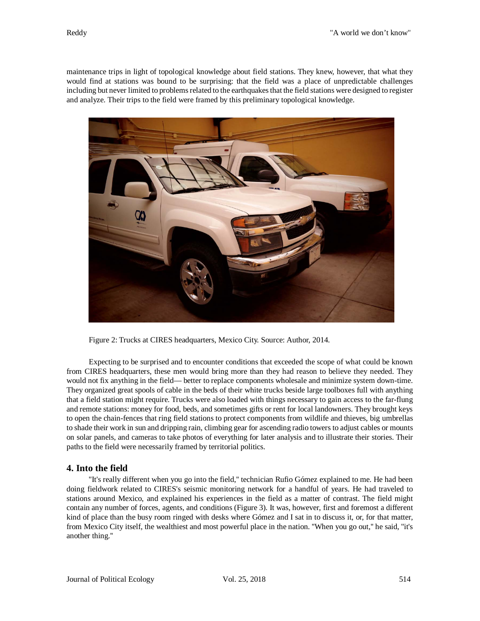maintenance trips in light of topological knowledge about field stations. They knew, however, that what they would find at stations was bound to be surprising: that the field was a place of unpredictable challenges including but never limited to problems related to the earthquakes that the field stations were designed to register and analyze. Their trips to the field were framed by this preliminary topological knowledge.



Figure 2: Trucks at CIRES headquarters, Mexico City. Source: Author, 2014.

Expecting to be surprised and to encounter conditions that exceeded the scope of what could be known from CIRES headquarters, these men would bring more than they had reason to believe they needed. They would not fix anything in the field— better to replace components wholesale and minimize system down-time. They organized great spools of cable in the beds of their white trucks beside large toolboxes full with anything that a field station might require. Trucks were also loaded with things necessary to gain access to the far-flung and remote stations: money for food, beds, and sometimes gifts or rent for local landowners. They brought keys to open the chain-fences that ring field stations to protect components from wildlife and thieves, big umbrellas to shade their work in sun and dripping rain, climbing gear for ascending radio towers to adjust cables or mounts on solar panels, and cameras to take photos of everything for later analysis and to illustrate their stories. Their paths to the field were necessarily framed by territorial politics.

# **4. Into the field**

''It's really different when you go into the field,'' technician Rufio Gómez explained to me. He had been doing fieldwork related to CIRES's seismic monitoring network for a handful of years. He had traveled to stations around Mexico, and explained his experiences in the field as a matter of contrast. The field might contain any number of forces, agents, and conditions (Figure 3). It was, however, first and foremost a different kind of place than the busy room ringed with desks where Gómez and I sat in to discuss it, or, for that matter, from Mexico City itself, the wealthiest and most powerful place in the nation. ''When you go out,'' he said, ''it's another thing.''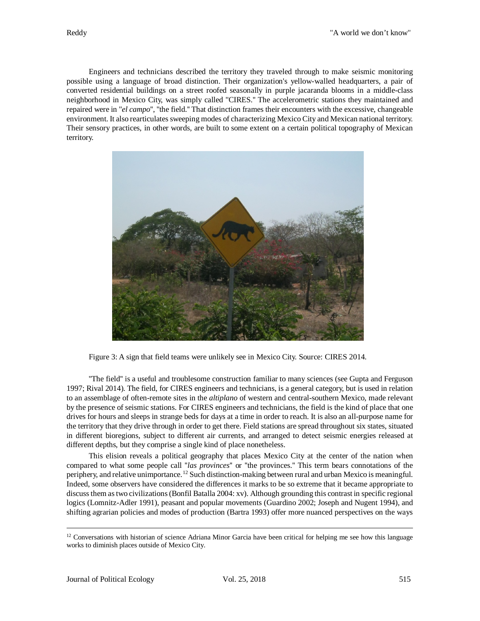Engineers and technicians described the territory they traveled through to make seismic monitoring possible using a language of broad distinction. Their organization's yellow-walled headquarters, a pair of converted residential buildings on a street roofed seasonally in purple jacaranda blooms in a middle-class neighborhood in Mexico City, was simply called ''CIRES.'' The accelerometric stations they maintained and repaired were in "*el campo*'', ''the field.'' That distinction frames their encounters with the excessive, changeable environment. It also rearticulates sweeping modes of characterizing Mexico City and Mexican national territory. Their sensory practices, in other words, are built to some extent on a certain political topography of Mexican territory.



Figure 3: A sign that field teams were unlikely see in Mexico City. Source: CIRES 2014.

''The field'' is a useful and troublesome construction familiar to many sciences (see Gupta and Ferguson 1997; Rival 2014). The field, for CIRES engineers and technicians, is a general category, but is used in relation to an assemblage of often-remote sites in the *altiplano* of western and central-southern Mexico, made relevant by the presence of seismic stations. For CIRES engineers and technicians, the field is the kind of place that one drives for hours and sleeps in strange beds for days at a time in order to reach. It is also an all-purpose name for the territory that they drive through in order to get there. Field stations are spread throughout six states, situated in different bioregions, subject to different air currents, and arranged to detect seismic energies released at different depths, but they comprise a single kind of place nonetheless.

This elision reveals a political geography that places Mexico City at the center of the nation when compared to what some people call ''*las provinces*'' or ''the provinces.'' This term bears connotations of the periphery, and relative unimportance.<sup>[12](#page-7-0)</sup> Such distinction-making between rural and urban Mexico is meaningful. Indeed, some observers have considered the differences it marks to be so extreme that it became appropriate to discuss them as two civilizations (Bonfil Batalla 2004: xv). Although grounding this contrast in specific regional logics (Lomnitz-Adler 1991), peasant and popular movements (Guardino 2002; Joseph and Nugent 1994), and shifting agrarian policies and modes of production (Bartra 1993) offer more nuanced perspectives on the ways

<span id="page-7-0"></span><sup>&</sup>lt;sup>12</sup> Conversations with historian of science Adriana Minor Garcia have been critical for helping me see how this language works to diminish places outside of Mexico City.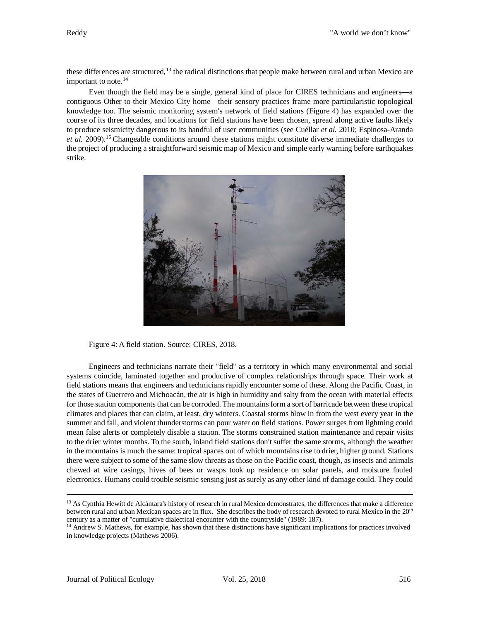these differences are structured,<sup>[13](#page-8-0)</sup> the radical distinctions that people make between rural and urban Mexico are important to note. [14](#page-8-1)

Even though the field may be a single, general kind of place for CIRES technicians and engineers—a contiguous Other to their Mexico City home—their sensory practices frame more particularistic topological knowledge too. The seismic monitoring system's network of field stations (Figure 4) has expanded over the course of its three decades, and locations for field stations have been chosen, spread along active faults likely to produce seismicity dangerous to its handful of user communities (see Cuéllar *et al.* 2010; Espinosa-Aranda *et al.* 2009).[15](#page-8-2) Changeable conditions around these stations might constitute diverse immediate challenges to the project of producing a straightforward seismic map of Mexico and simple early warning before earthquakes strike.



Figure 4: A field station. Source: CIRES, 2018.

Engineers and technicians narrate their ''field'' as a territory in which many environmental and social systems coincide, laminated together and productive of complex relationships through space. Their work at field stations means that engineers and technicians rapidly encounter some of these. Along the Pacific Coast, in the states of Guerrero and Michoacán, the air is high in humidity and salty from the ocean with material effects for those station components that can be corroded. The mountains form a sort of barricade between these tropical climates and places that can claim, at least, dry winters. Coastal storms blow in from the west every year in the summer and fall, and violent thunderstorms can pour water on field stations. Power surges from lightning could mean false alerts or completely disable a station. The storms constrained station maintenance and repair visits to the drier winter months. To the south, inland field stations don't suffer the same storms, although the weather in the mountains is much the same: tropical spaces out of which mountains rise to drier, higher ground. Stations there were subject to some of the same slow threats as those on the Pacific coast, though, as insects and animals chewed at wire casings, hives of bees or wasps took up residence on solar panels, and moisture fouled electronics. Humans could trouble seismic sensing just as surely as any other kind of damage could. They could

<span id="page-8-0"></span><sup>&</sup>lt;sup>13</sup> As Cynthia Hewitt de Alcántara's history of research in rural Mexico demonstrates, the differences that make a difference between rural and urban Mexican spaces are in flux. She describes the body of research devoted to rural Mexico in the 20th century as a matter of "cumulative dialectical encounter with the countryside" (1989: 187).

<span id="page-8-2"></span><span id="page-8-1"></span><sup>&</sup>lt;sup>14</sup> Andrew S. Mathews, for example, has shown that these distinctions have significant implications for practices involved in knowledge projects (Mathews 2006).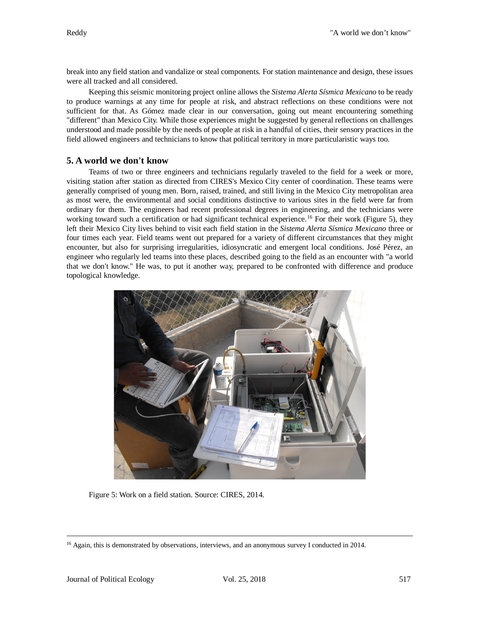break into any field station and vandalize or steal components. For station maintenance and design, these issues were all tracked and all considered.

Keeping this seismic monitoring project online allows the *Sistema Alerta Sísmica Mexicano* to be ready to produce warnings at any time for people at risk, and abstract reflections on these conditions were not sufficient for that. As Gómez made clear in our conversation, going out meant encountering something "different" than Mexico City. While those experiences might be suggested by general reflections on challenges understood and made possible by the needs of people at risk in a handful of cities, their sensory practices in the field allowed engineers and technicians to know that political territory in more particularistic ways too.

# **5. A world we don't know**

Teams of two or three engineers and technicians regularly traveled to the field for a week or more, visiting station after station as directed from CIRES's Mexico City center of coordination. These teams were generally comprised of young men. Born, raised, trained, and still living in the Mexico City metropolitan area as most were, the environmental and social conditions distinctive to various sites in the field were far from ordinary for them. The engineers had recent professional degrees in engineering, and the technicians were working toward such a certification or had significant technical experience.<sup>[16](#page-9-0)</sup> For their work (Figure 5), they left their Mexico City lives behind to visit each field station in the *Sistema Alerta Sísmica Mexicano* three or four times each year. Field teams went out prepared for a variety of different circumstances that they might encounter, but also for surprising irregularities, idiosyncratic and emergent local conditions. José Pérez, an engineer who regularly led teams into these places, described going to the field as an encounter with "a world that we don't know." He was, to put it another way, prepared to be confronted with difference and produce topological knowledge.



Figure 5: Work on a field station. Source: CIRES, 2014.

<span id="page-9-0"></span><sup>&</sup>lt;sup>16</sup> Again, this is demonstrated by observations, interviews, and an anonymous survey I conducted in 2014.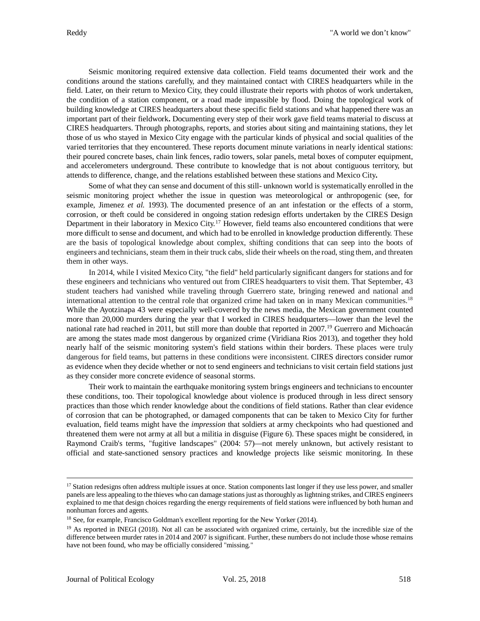Seismic monitoring required extensive data collection. Field teams documented their work and the conditions around the stations carefully, and they maintained contact with CIRES headquarters while in the field. Later, on their return to Mexico City, they could illustrate their reports with photos of work undertaken, the condition of a station component, or a road made impassible by flood. Doing the topological work of building knowledge at CIRES headquarters about these specific field stations and what happened there was an important part of their fieldwork**.** Documenting every step of their work gave field teams material to discuss at CIRES headquarters. Through photographs, reports, and stories about siting and maintaining stations, they let those of us who stayed in Mexico City engage with the particular kinds of physical and social qualities of the varied territories that they encountered. These reports document minute variations in nearly identical stations: their poured concrete bases, chain link fences, radio towers, solar panels, metal boxes of computer equipment, and accelerometers underground. These contribute to knowledge that is not about contiguous territory, but attends to difference, change, and the relations established between these stations and Mexico City**.** 

Some of what they can sense and document of this still- unknown world is systematically enrolled in the seismic monitoring project whether the issue in question was meteorological or anthropogenic (see, for example, Jimenez *et al.* 1993). The documented presence of an ant infestation or the effects of a storm, corrosion, or theft could be considered in ongoing station redesign efforts undertaken by the CIRES Design Department in their laboratory in Mexico City.<sup>[17](#page-10-0)</sup> However, field teams also encountered conditions that were more difficult to sense and document, and which had to be enrolled in knowledge production differently. These are the basis of topological knowledge about complex, shifting conditions that can seep into the boots of engineers and technicians, steam them in their truck cabs, slide their wheels on the road, sting them, and threaten them in other ways.

In 2014, while I visited Mexico City, "the field" held particularly significant dangers for stations and for these engineers and technicians who ventured out from CIRES headquarters to visit them. That September, 43 student teachers had vanished while traveling through Guerrero state, bringing renewed and national and international attention to the central role that organized crime had taken on in many Mexican communities.<sup>18</sup> While the Ayotzinapa 43 were especially well-covered by the news media, the Mexican government counted more than 20,000 murders during the year that I worked in CIRES headquarters—lower than the level the national rate had reached in 2011, but still more than double that reported in 2007.<sup>[19](#page-10-2)</sup> Guerrero and Michoacán are among the states made most dangerous by organized crime (Viridiana Rios 2013), and together they hold nearly half of the seismic monitoring system's field stations within their borders. These places were truly dangerous for field teams, but patterns in these conditions were inconsistent. CIRES directors consider rumor as evidence when they decide whether or not to send engineers and technicians to visit certain field stations just as they consider more concrete evidence of seasonal storms.

Their work to maintain the earthquake monitoring system brings engineers and technicians to encounter these conditions, too. Their topological knowledge about violence is produced through in less direct sensory practices than those which render knowledge about the conditions of field stations. Rather than clear evidence of corrosion that can be photographed, or damaged components that can be taken to Mexico City for further evaluation, field teams might have the *impression* that soldiers at army checkpoints who had questioned and threatened them were not army at all but a militia in disguise (Figure 6). These spaces might be considered, in Raymond Craib's terms, "fugitive landscapes" (2004: 57)—not merely unknown, but actively resistant to official and state-sanctioned sensory practices and knowledge projects like seismic monitoring. In these

<span id="page-10-0"></span><sup>&</sup>lt;sup>17</sup> Station redesigns often address multiple issues at once. Station components last longer if they use less power, and smaller panels are less appealing to the thieves who can damage stations just as thoroughly as lightning strikes, and CIRES engineers explained to me that design choices regarding the energy requirements of field stations were influenced by both human and nonhuman forces and agents.

<sup>&</sup>lt;sup>18</sup> See, for example, Francisco Goldman's excellent reporting for the New Yorker (2014).

<span id="page-10-2"></span><span id="page-10-1"></span><sup>&</sup>lt;sup>19</sup> As reported in INEGI (2018). Not all can be associated with organized crime, certainly, but the incredible size of the difference between murder rates in 2014 and 2007 is significant. Further, these numbers do not include those whose remains have not been found, who may be officially considered "missing."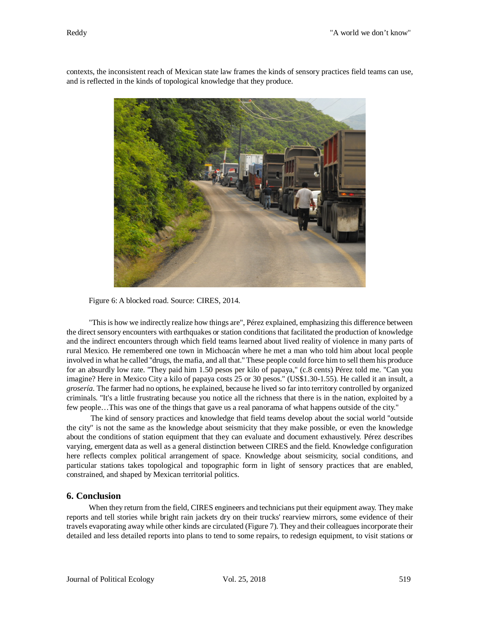

contexts, the inconsistent reach of Mexican state law frames the kinds of sensory practices field teams can use, and is reflected in the kinds of topological knowledge that they produce.

Figure 6: A blocked road. Source: CIRES, 2014.

"This is how we indirectly realize how things are", Pérez explained, emphasizing this difference between the direct sensory encounters with earthquakes or station conditions that facilitated the production of knowledge and the indirect encounters through which field teams learned about lived reality of violence in many parts of rural Mexico. He remembered one town in Michoacán where he met a man who told him about local people involved in what he called ''drugs, the mafia, and all that.'' These people could force him to sell them his produce for an absurdly low rate. ''They paid him 1.50 pesos per kilo of papaya,'' (c.8 cents) Pérez told me. ''Can you imagine? Here in Mexico City a kilo of papaya costs 25 or 30 pesos.'' (US\$1.30-1.55). He called it an insult, a *grosería.* The farmer had no options, he explained, because he lived so far into territory controlled by organized criminals. ''It's a little frustrating because you notice all the richness that there is in the nation, exploited by a few people…This was one of the things that gave us a real panorama of what happens outside of the city.''

The kind of sensory practices and knowledge that field teams develop about the social world ''outside the city'' is not the same as the knowledge about seismicity that they make possible, or even the knowledge about the conditions of station equipment that they can evaluate and document exhaustively. Pérez describes varying, emergent data as well as a general distinction between CIRES and the field. Knowledge configuration here reflects complex political arrangement of space. Knowledge about seismicity, social conditions, and particular stations takes topological and topographic form in light of sensory practices that are enabled, constrained, and shaped by Mexican territorial politics.

#### **6. Conclusion**

When they return from the field, CIRES engineers and technicians put their equipment away. They make reports and tell stories while bright rain jackets dry on their trucks' rearview mirrors, some evidence of their travels evaporating away while other kinds are circulated (Figure 7). They and their colleagues incorporate their detailed and less detailed reports into plans to tend to some repairs, to redesign equipment, to visit stations or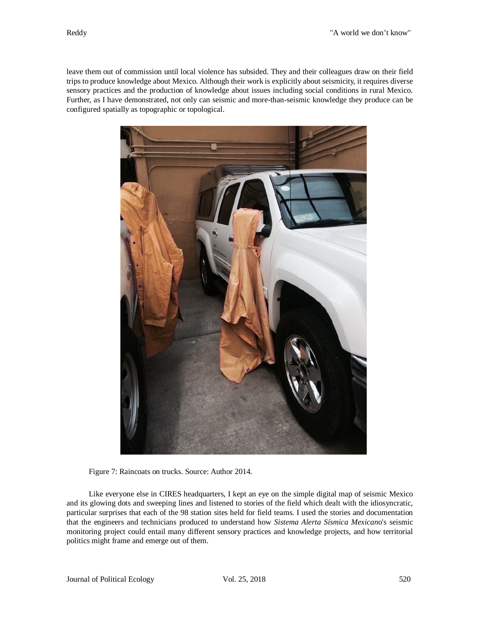leave them out of commission until local violence has subsided. They and their colleagues draw on their field trips to produce knowledge about Mexico. Although their work is explicitly about seismicity, it requires diverse sensory practices and the production of knowledge about issues including social conditions in rural Mexico. Further, as I have demonstrated, not only can seismic and more-than-seismic knowledge they produce can be configured spatially as topographic or topological.



Figure 7: Raincoats on trucks. Source: Author 2014.

Like everyone else in CIRES headquarters, I kept an eye on the simple digital map of seismic Mexico and its glowing dots and sweeping lines and listened to stories of the field which dealt with the idiosyncratic, particular surprises that each of the 98 station sites held for field teams. I used the stories and documentation that the engineers and technicians produced to understand how *Sistema Alerta Sísmica Mexican*o's seismic monitoring project could entail many different sensory practices and knowledge projects, and how territorial politics might frame and emerge out of them.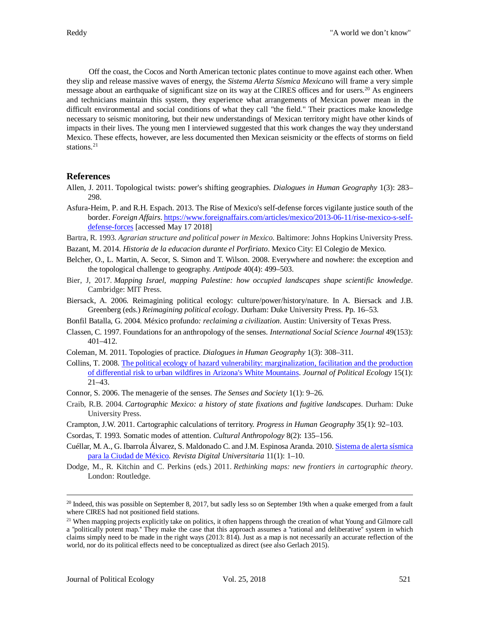Off the coast, the Cocos and North American tectonic plates continue to move against each other. When they slip and release massive waves of energy, the *Sistema Alerta Sísmica Mexicano* will frame a very simple message about an earthquake of significant size on its way at the CIRES offices and for users[.20](#page-13-0) As engineers and technicians maintain this system, they experience what arrangements of Mexican power mean in the difficult environmental and social conditions of what they call "the field." Their practices make knowledge necessary to seismic monitoring, but their new understandings of Mexican territory might have other kinds of impacts in their lives. The young men I interviewed suggested that this work changes the way they understand Mexico. These effects, however, are less documented then Mexican seismicity or the effects of storms on field stations. [21](#page-13-1)

#### **References**

- Allen, J. 2011. Topological twists: power's shifting geographies. *Dialogues in Human Geography* 1(3): 283– 298.
- Asfura-Heim, P. and R.H. Espach. 2013. The Rise of Mexico's self-defense forces vigilante justice south of the border. *Foreign Affairs*. [https://www.foreignaffairs.com/articles/mexico/2013-06-11/rise-mexico-s-self](https://www.foreignaffairs.com/articles/mexico/2013-06-11/rise-mexico-s-self-defense-forces)[defense-forces](https://www.foreignaffairs.com/articles/mexico/2013-06-11/rise-mexico-s-self-defense-forces) [accessed May 17 2018]
- Bartra, R. 1993. *Agrarian structure and political power in Mexico*. Baltimore: Johns Hopkins University Press.
- Bazant, M. 2014. *Historia de la educacion durante el Porfiriato*. Mexico City: El Colegio de Mexico.
- Belcher, O., L. Martin, A. Secor, S. Simon and T. Wilson. 2008. Everywhere and nowhere: the exception and the topological challenge to geography. *Antipode* 40(4): 499–503.
- Bier, J, 2017. *Mapping Israel, mapping Palestine: how occupied landscapes shape scientific knowledge*. Cambridge: MIT Press.
- Biersack, A. 2006. Reimagining political ecology: culture/power/history/nature. In A. Biersack and J.B. Greenberg (eds.) *Reimagining political ecology*. Durham: Duke University Press. Pp. 16–53.
- Bonfil Batalla, G. 2004. México profundo*: reclaiming a civilization*. Austin: University of Texas Press.
- Classen, C. 1997. Foundations for an anthropology of the senses. *International Social Science Journal* 49(153): 401–412.
- Coleman, M. 2011. Topologies of practice. *Dialogues in Human Geography* 1(3): 308–311.
- Collins, T. 2008. [The political ecology of hazard vulnerability: marginalization, facilitation and the production](http://dx.doi.org/10.2458/v15i1.21686)  [of differential risk to urban wildfires in Arizona's White Mountains.](http://dx.doi.org/10.2458/v15i1.21686) *Journal of Political Ecology* 15(1): 21–43.
- Connor, S. 2006. The menagerie of the senses. *The Senses and Society* 1(1): 9–26.
- Craib, R.B. 2004. *Cartographic Mexico: a history of state fixations and fugitive landscapes*. Durham: Duke University Press.
- Crampton, J.W. 2011. Cartographic calculations of territory. *Progress in Human Geography* 35(1): 92–103.
- Csordas, T. 1993. Somatic modes of attention. *Cultural Anthropology* 8(2): 135–156.
- Cuéllar, M. A., G. Ibarrola Álvarez, S. Maldonado C. and J.M. Espinosa Aranda. 2010. [Sistema de alerta sísmica](http://www.revista.unam.mx/vol.11/num1/art03/int03.htm)  [para la Ciudad de México.](http://www.revista.unam.mx/vol.11/num1/art03/int03.htm) *Revista Digital Universitaria* 11(1): 1–10.
- Dodge, M., R. Kitchin and C. Perkins (eds.) 2011. *Rethinking maps: new frontiers in cartographic theory*. London: Routledge.

<span id="page-13-0"></span> $20$  Indeed, this was possible on September 8, 2017, but sadly less so on September 19th when a quake emerged from a fault where CIRES had not positioned field stations.

<span id="page-13-1"></span><sup>&</sup>lt;sup>21</sup> When mapping projects explicitly take on politics, it often happens through the creation of what Young and Gilmore call a ''politically potent map.'' They make the case that this approach assumes a ''rational and deliberative'' system in which claims simply need to be made in the right ways (2013: 814). Just as a map is not necessarily an accurate reflection of the world, nor do its political effects need to be conceptualized as direct (see also Gerlach 2015).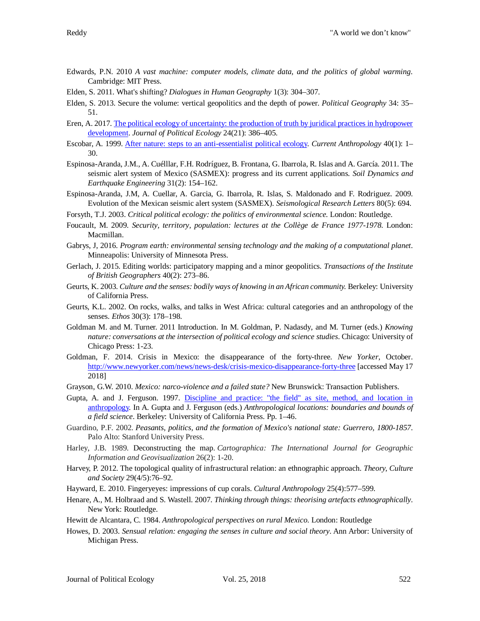- Edwards, P.N. 2010 *A vast machine: computer models, climate data, and the politics of global warming*. Cambridge: MIT Press.
- Elden, S. 2011. What's shifting? *Dialogues in Human Geography* 1(3): 304–307.
- Elden, S. 2013. Secure the volume: vertical geopolitics and the depth of power. *Political Geography* 34: 35– 51.
- Eren, A. 2017. [The political ecology of uncertainty: the production of truth by juridical practices in hydropower](http://dx.doi.org/10.2458/v24i1.20879)  [development.](http://dx.doi.org/10.2458/v24i1.20879) *Journal of Political Ecology* 24(21): 386–405.
- Escobar, A. 1999. [After nature: steps to an anti-essentialist political ecology.](http://anthro.vancouver.wsu.edu/media/Course_files/anth-490-edward-h-hagen/escobar-1999-after-nature-steps-to-an-antiessentialist-political-ecology.pdf) *Current Anthropology* 40(1): 1– 30.
- Espinosa-Aranda, J.M., A. Cuélllar, F.H. Rodríguez, B. Frontana, G. Ibarrola, R. Islas and A. García. 2011. The seismic alert system of Mexico (SASMEX): progress and its current applications. *Soil Dynamics and Earthquake Engineering* 31(2): 154–162.
- Espinosa-Aranda, J.M, A. Cuellar, A. Garcia, G. Ibarrola, R. Islas, S. Maldonado and F. Rodriguez. 2009. Evolution of the Mexican seismic alert system (SASMEX). *Seismological Research Letters* 80(5): 694.
- Forsyth, T.J. 2003. *Critical political ecology: the politics of environmental science.* London: Routledge.
- Foucault, M. 2009. *Security, territory, population: lectures at the Collège de France 1977-1978*. London: Macmillan.
- Gabrys, J, 2016. *Program earth: environmental sensing technology and the making of a computational planet*. Minneapolis: University of Minnesota Press.
- Gerlach, J. 2015. Editing worlds: participatory mapping and a minor geopolitics. *Transactions of the Institute of British Geographers* 40(2): 273–86.
- Geurts, K. 2003. *Culture and the senses: bodily ways of knowing in an African community.* Berkeley: University of California Press.
- Geurts, K.L. 2002. On rocks, walks, and talks in West Africa: cultural categories and an anthropology of the senses. *Ethos* 30(3): 178–198.
- Goldman M. and M. Turner. 2011 Introduction. In M. Goldman, P. Nadasdy, and M. Turner (eds.) *Knowing nature: conversations at the intersection of political ecology and science studies*. Chicago: University of Chicago Press: 1-23.
- Goldman, F. 2014. Crisis in Mexico: the disappearance of the forty-three. *New Yorker*, October. <http://www.newyorker.com/news/news-desk/crisis-mexico-disappearance-forty-three> [accessed May 17 2018]
- Grayson, G.W. 2010. *Mexico: narco-violence and a failed state?* New Brunswick: Transaction Publishers.
- Gupta, A. and J. Ferguson. 1997. [Discipline and practice: ''the field''](https://www.border-crossings.eu/downloads/item/download/296_8f3f0954ad2ac7e09513e8c431fabbce) as site, method, and location in [anthropology.](https://www.border-crossings.eu/downloads/item/download/296_8f3f0954ad2ac7e09513e8c431fabbce) In A. Gupta and J. Ferguson (eds.) *Anthropological locations: boundaries and bounds of a field science*. Berkeley: University of California Press. Pp. 1–46.
- Guardino, P.F. 2002. *Peasants, politics, and the formation of Mexico's national state: Guerrero, 1800-1857*. Palo Alto: Stanford University Press.
- Harley, J.B. 1989. Deconstructing the map. *Cartographica: The International Journal for Geographic Information and Geovisualization* 26(2): 1-20.
- Harvey, P. 2012. The topological quality of infrastructural relation: an ethnographic approach. *Theory, Culture and Society* 29(4/5):76–92.
- Hayward, E. 2010. Fingeryeyes: impressions of cup corals. *Cultural Anthropology* 25(4):577–599.
- Henare, A., M. Holbraad and S. Wastell. 2007. *Thinking through things: theorising artefacts ethnographically*. New York: Routledge.
- Hewitt de Alcantara, C. 1984. *Anthropological perspectives on rural Mexico*. London: Routledge
- Howes, D. 2003. *Sensual relation: engaging the senses in culture and social theory*. Ann Arbor: University of Michigan Press.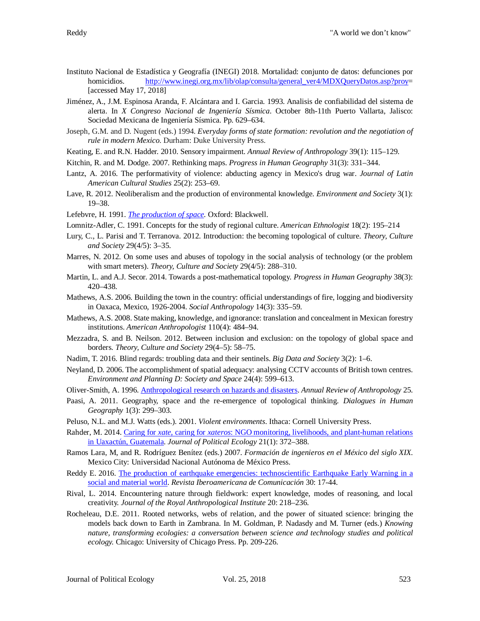- Instituto Nacional de Estadística y Geografía (INEGI) 2018. Mortalidad: conjunto de datos: defunciones por homicidios. [http://www.inegi.org.mx/lib/olap/consulta/general\\_ver4/MDXQueryDatos.asp?proy=](http://www.inegi.org.mx/lib/olap/consulta/general_ver4/MDXQueryDatos.asp?proy) [accessed May 17, 2018]
- Jiménez, A., J.M. Espinosa Aranda, F. Alcántara and I. Garcia. 1993. Analisis de confiabilidad del sistema de alerta. In *X Congreso Nacional de Ingeniería Sísmica*. October 8th-11th Puerto Vallarta, Jalisco: Sociedad Mexicana de Ingeniería Sísmica. Pp. 629–634.
- Joseph, G.M. and D. Nugent (eds.) 1994. *Everyday forms of state formation: revolution and the negotiation of rule in modern Mexico*. Durham: Duke University Press.
- Keating, E. and R.N. Hadder. 2010. Sensory impairment. *Annual Review of Anthropology* 39(1): 115–129.
- Kitchin, R. and M. Dodge. 2007. Rethinking maps. *Progress in Human Geography* 31(3): 331–344.
- Lantz, A. 2016. The performativity of violence: abducting agency in Mexico's drug war. *Journal of Latin American Cultural Studies* 25(2): 253–69.
- Lave, R. 2012. Neoliberalism and the production of environmental knowledge. *Environment and Society* 3(1): 19–38.
- Lefebvre, H. 1991. *[The production of](https://monoskop.org/images/7/75/Lefebvre_Henri_The_Production_of_Space.pdf) space*. Oxford: Blackwell.
- Lomnitz-Adler, C. 1991. Concepts for the study of regional culture. *American Ethnologist* 18(2): 195–214
- Lury, C., L. Parisi and T. Terranova. 2012. Introduction: the becoming topological of culture. *Theory, Culture and Society* 29(4/5): 3–35.
- Marres, N. 2012. On some uses and abuses of topology in the social analysis of technology (or the problem with smart meters). *Theory, Culture and Society* 29(4/5): 288–310.
- Martin, L. and A.J. Secor. 2014. Towards a post-mathematical topology. *Progress in Human Geography* 38(3): 420–438.
- Mathews, A.S. 2006. Building the town in the country: official understandings of fire, logging and biodiversity in Oaxaca, Mexico, 1926-2004. *Social Anthropology* 14(3): 335–59.
- Mathews, A.S. 2008. State making, knowledge, and ignorance: translation and concealment in Mexican forestry institutions. *American Anthropologist* 110(4): 484–94.
- Mezzadra, S. and B. Neilson. 2012. Between inclusion and exclusion: on the topology of global space and borders. *Theory, Culture and Society* 29(4–5): 58–75.
- Nadim, T. 2016. Blind regards: troubling data and their sentinels. *Big Data and Society* 3(2): 1–6.
- Neyland, D. 2006. The accomplishment of spatial adequacy: analysing CCTV accounts of British town centres. *Environment and Planning D: Society and Space* 24(4): 599–613.
- Oliver-Smith, A. 1996[. Anthropological research on hazards and disasters.](http://drr.upeace.org/english/documents/References/Topic%204-Theory,%20Methodology%20and%20Policy/Smith%201996%20Anthropological%20Research.pdf) *Annual Review of Anthropology* 25.
- Paasi, A. 2011. Geography, space and the re-emergence of topological thinking. *Dialogues in Human Geography* 1(3): 299–303.
- Peluso, N.L. and M.J. Watts (eds.). 2001. *Violent environments*. Ithaca: Cornell University Press.
- Rahder, M. 2014. Caring for *xate*, caring for *xateros*[: NGO monitoring, livelihoods, and plant-human relations](http://dx.doi.org/10.2458/v21i1.21141)  [in Uaxactún, Guatemala.](http://dx.doi.org/10.2458/v21i1.21141) *Journal of Political Ecology* 21(1): 372–388.
- Ramos Lara, M, and R. Rodríguez Benítez (eds.) 2007. *Formación de ingenieros en el México del siglo XIX*. Mexico City: Universidad Nacional Autónoma de México Press.
- Reddy E. 2016. [The production of earthquake emergencies: technoscientific Earthquake Early Warning in a](https://elizabethreddy.files.wordpress.com/2012/10/reddy-production-of-earthquake-emergencies.pdf)  [social and material world.](https://elizabethreddy.files.wordpress.com/2012/10/reddy-production-of-earthquake-emergencies.pdf) *Revista Iberoamericana de Comunicación* 30: 17-44.
- Rival, L. 2014. Encountering nature through fieldwork: expert knowledge, modes of reasoning, and local creativity. *Journal of the Royal Anthropological Institute* 20: 218–236.
- Rocheleau, D.E. 2011. Rooted networks, webs of relation, and the power of situated science: bringing the models back down to Earth in Zambrana. In M. Goldman, P. Nadasdy and M. Turner (eds.) *Knowing nature, transforming ecologies: a conversation between science and technology studies and political ecology.* Chicago: University of Chicago Press. Pp. 209-226.